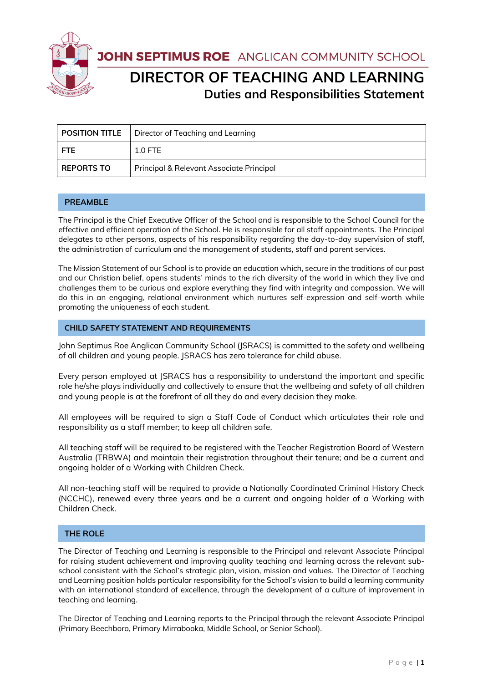

JOHN SEPTIMUS ROE ANGLICAN COMMUNITY SCHOOL

# **DIRECTOR OF TEACHING AND LEARNING Duties and Responsibilities Statement**

|                   | <b>POSITION TITLE</b>   Director of Teaching and Learning |
|-------------------|-----------------------------------------------------------|
| <b>FTE</b>        | $1.0$ FTE                                                 |
| <b>REPORTS TO</b> | Principal & Relevant Associate Principal                  |

## **PREAMBLE**

The Principal is the Chief Executive Officer of the School and is responsible to the School Council for the effective and efficient operation of the School. He is responsible for all staff appointments. The Principal delegates to other persons, aspects of his responsibility regarding the day-to-day supervision of staff, the administration of curriculum and the management of students, staff and parent services.

The Mission Statement of our School is to provide an education which, secure in the traditions of our past and our Christian belief, opens students' minds to the rich diversity of the world in which they live and challenges them to be curious and explore everything they find with integrity and compassion. We will do this in an engaging, relational environment which nurtures self-expression and self-worth while promoting the uniqueness of each student.

## **CHILD SAFETY STATEMENT AND REQUIREMENTS**

John Septimus Roe Anglican Community School (JSRACS) is committed to the safety and wellbeing of all children and young people. JSRACS has zero tolerance for child abuse.

Every person employed at JSRACS has a responsibility to understand the important and specific role he/she plays individually and collectively to ensure that the wellbeing and safety of all children and young people is at the forefront of all they do and every decision they make.

All employees will be required to sign a Staff Code of Conduct which articulates their role and responsibility as a staff member; to keep all children safe.

All teaching staff will be required to be registered with the Teacher Registration Board of Western Australia (TRBWA) and maintain their registration throughout their tenure; and be a current and ongoing holder of a Working with Children Check.

All non-teaching staff will be required to provide a Nationally Coordinated Criminal History Check (NCCHC), renewed every three years and be a current and ongoing holder of a Working with Children Check.

## **THE ROLE**

The Director of Teaching and Learning is responsible to the Principal and relevant Associate Principal for raising student achievement and improving quality teaching and learning across the relevant subschool consistent with the School's strategic plan, vision, mission and values. The Director of Teaching and Learning position holds particular responsibility for the School's vision to build a learning community with an international standard of excellence, through the development of a culture of improvement in teaching and learning.

The Director of Teaching and Learning reports to the Principal through the relevant Associate Principal (Primary Beechboro, Primary Mirrabooka, Middle School, or Senior School).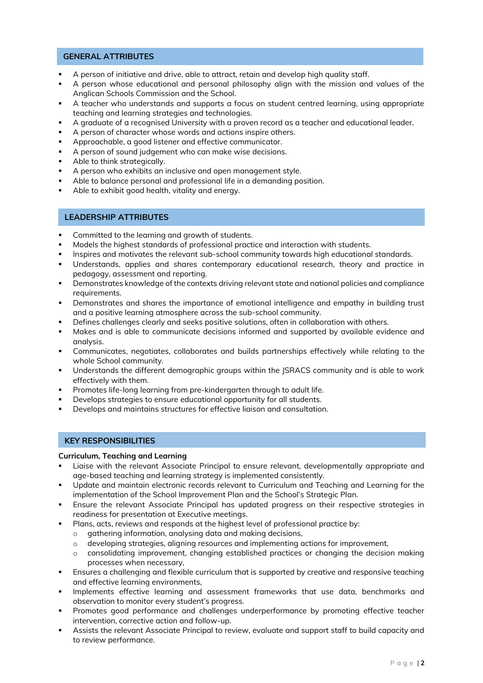### **GENERAL ATTRIBUTES**

- A person of initiative and drive, able to attract, retain and develop high quality staff.
- A person whose educational and personal philosophy align with the mission and values of the Anglican Schools Commission and the School.
- A teacher who understands and supports a focus on student centred learning, using appropriate teaching and learning strategies and technologies.
- A graduate of a recognised University with a proven record as a teacher and educational leader.
- A person of character whose words and actions inspire others.
- Approachable, a good listener and effective communicator.
- A person of sound judgement who can make wise decisions.
- Able to think strategically.
- A person who exhibits an inclusive and open management style.
- Able to balance personal and professional life in a demanding position.
- Able to exhibit good health, vitality and energy.

## **LEADERSHIP ATTRIBUTES**

- Committed to the learning and growth of students.
- Models the highest standards of professional practice and interaction with students.
- Inspires and motivates the relevant sub-school community towards high educational standards.
- Understands, applies and shares contemporary educational research, theory and practice in pedagogy, assessment and reporting.
- Demonstrates knowledge of the contexts driving relevant state and national policies and compliance requirements.
- Demonstrates and shares the importance of emotional intelligence and empathy in building trust and a positive learning atmosphere across the sub-school community.
- Defines challenges clearly and seeks positive solutions, often in collaboration with others.
- Makes and is able to communicate decisions informed and supported by available evidence and analysis.
- Communicates, negotiates, collaborates and builds partnerships effectively while relating to the whole School community.
- Understands the different demographic groups within the ISRACS community and is able to work effectively with them.
- Promotes life-long learning from pre-kindergarten through to adult life.
- Develops strategies to ensure educational opportunity for all students.
- Develops and maintains structures for effective liaison and consultation.

## **KEY RESPONSIBILITIES**

#### **Curriculum, Teaching and Learning**

- Liaise with the relevant Associate Principal to ensure relevant, developmentally appropriate and age-based teaching and learning strategy is implemented consistently.
- Update and maintain electronic records relevant to Curriculum and Teaching and Learning for the implementation of the School Improvement Plan and the School's Strategic Plan.
- Ensure the relevant Associate Principal has updated progress on their respective strategies in readiness for presentation at Executive meetings.
- Plans, acts, reviews and responds at the highest level of professional practice by:
	- o gathering information, analysing data and making decisions,
	- o developing strategies, aligning resources and implementing actions for improvement,
	- o consolidating improvement, changing established practices or changing the decision making processes when necessary,
- Ensures a challenging and flexible curriculum that is supported by creative and responsive teaching and effective learning environments,
- Implements effective learning and assessment frameworks that use data, benchmarks and observation to monitor every student's progress.
- Promotes good performance and challenges underperformance by promoting effective teacher intervention, corrective action and follow-up.
- Assists the relevant Associate Principal to review, evaluate and support staff to build capacity and to review performance.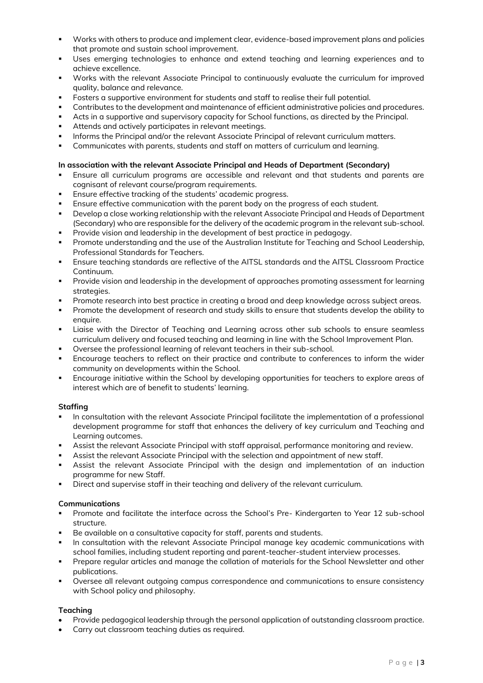- Works with others to produce and implement clear, evidence-based improvement plans and policies that promote and sustain school improvement.
- Uses emerging technologies to enhance and extend teaching and learning experiences and to achieve excellence.
- Works with the relevant Associate Principal to continuously evaluate the curriculum for improved quality, balance and relevance.
- Fosters a supportive environment for students and staff to realise their full potential.
- Contributes to the development and maintenance of efficient administrative policies and procedures.
- Acts in a supportive and supervisory capacity for School functions, as directed by the Principal.
- Attends and actively participates in relevant meetings.
- Informs the Principal and/or the relevant Associate Principal of relevant curriculum matters.
- Communicates with parents, students and staff on matters of curriculum and learning.

#### **In association with the relevant Associate Principal and Heads of Department (Secondary)**

- Ensure all curriculum programs are accessible and relevant and that students and parents are cognisant of relevant course/program requirements.
- Ensure effective tracking of the students' academic progress.
- Ensure effective communication with the parent body on the progress of each student.
- Develop a close working relationship with the relevant Associate Principal and Heads of Department (Secondary) who are responsible for the delivery of the academic program in the relevant sub-school.
- Provide vision and leadership in the development of best practice in pedagogy.
- Promote understanding and the use of the Australian Institute for Teaching and School Leadership, Professional Standards for Teachers.
- Ensure teaching standards are reflective of the AITSL standards and the AITSL Classroom Practice Continuum.
- Provide vision and leadership in the development of approaches promoting assessment for learning strategies.
- Promote research into best practice in creating a broad and deep knowledge across subject areas.
- Promote the development of research and study skills to ensure that students develop the ability to enquire.
- **EXECT** Liaise with the Director of Teaching and Learning across other sub schools to ensure seamless curriculum delivery and focused teaching and learning in line with the School Improvement Plan.
- Oversee the professional learning of relevant teachers in their sub-school.
- Encourage teachers to reflect on their practice and contribute to conferences to inform the wider community on developments within the School.
- Encourage initiative within the School by developing opportunities for teachers to explore areas of interest which are of benefit to students' learning.

#### **Staffing**

- In consultation with the relevant Associate Principal facilitate the implementation of a professional development programme for staff that enhances the delivery of key curriculum and Teaching and Learning outcomes.
- Assist the relevant Associate Principal with staff appraisal, performance monitoring and review.
- Assist the relevant Associate Principal with the selection and appointment of new staff.
- Assist the relevant Associate Principal with the design and implementation of an induction programme for new Staff.
- Direct and supervise staff in their teaching and delivery of the relevant curriculum.

#### **Communications**

- Promote and facilitate the interface across the School's Pre- Kindergarten to Year 12 sub-school structure.
- Be available on a consultative capacity for staff, parents and students.
- In consultation with the relevant Associate Principal manage key academic communications with school families, including student reporting and parent-teacher-student interview processes.
- Prepare regular articles and manage the collation of materials for the School Newsletter and other publications.
- Oversee all relevant outgoing campus correspondence and communications to ensure consistency with School policy and philosophy.

## **Teaching**

- Provide pedagogical leadership through the personal application of outstanding classroom practice.
- Carry out classroom teaching duties as required.